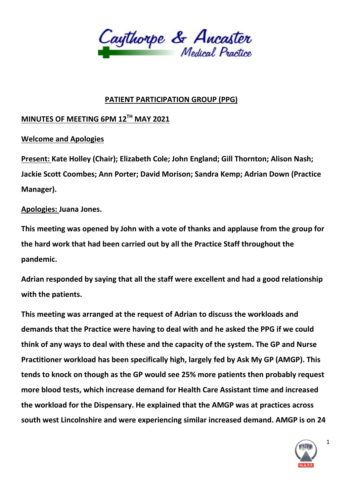

## **PATIENT PARTICIPATION GROUP (PPG)**

## **MINUTES OF MEETING 6PM 12TH MAY 2021**

## **Welcome and Apologies**

**Present: Kate Holley (Chair); Elizabeth Cole; John England; Gill Thornton; Alison Nash; Jackie Scott Coombes; Ann Porter; David Morison; Sandra Kemp; Adrian Down (Practice Manager).**

## **Apologies: Juana Jones.**

**This meeting was opened by John with a vote of thanks and applause from the group for the hard work that had been carried out by all the Practice Staff throughout the pandemic.**

**Adrian responded by saying that all the staff were excellent and had a good relationship with the patients.**

**This meeting was arranged at the request of Adrian to discuss the workloads and demands that the Practice were having to deal with and he asked the PPG if we could think of any ways to deal with these and the capacity of the system. The GP and Nurse Practitioner workload has been specifically high, largely fed by Ask My GP (AMGP). This tends to knock on though as the GP would see 25% more patients then probably request more blood tests, which increase demand for Health Care Assistant time and increased the workload for the Dispensary. He explained that the AMGP was at practices across south west Lincolnshire and were experiencing similar increased demand. AMGP is on 24** 



1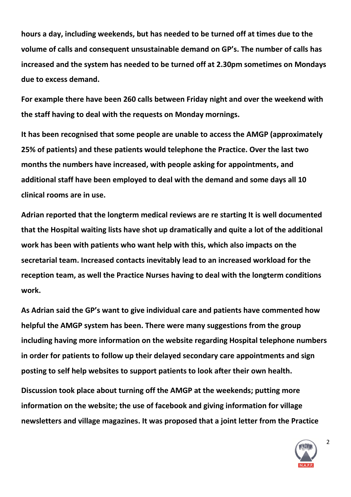**hours a day, including weekends, but has needed to be turned off at times due to the volume of calls and consequent unsustainable demand on GP's. The number of calls has increased and the system has needed to be turned off at 2.30pm sometimes on Mondays due to excess demand.**

**For example there have been 260 calls between Friday night and over the weekend with the staff having to deal with the requests on Monday mornings.**

**It has been recognised that some people are unable to access the AMGP (approximately 25% of patients) and these patients would telephone the Practice. Over the last two months the numbers have increased, with people asking for appointments, and additional staff have been employed to deal with the demand and some days all 10 clinical rooms are in use.**

**Adrian reported that the longterm medical reviews are re starting It is well documented that the Hospital waiting lists have shot up dramatically and quite a lot of the additional work has been with patients who want help with this, which also impacts on the secretarial team. Increased contacts inevitably lead to an increased workload for the reception team, as well the Practice Nurses having to deal with the longterm conditions work.**

**As Adrian said the GP's want to give individual care and patients have commented how helpful the AMGP system has been. There were many suggestions from the group including having more information on the website regarding Hospital telephone numbers in order for patients to follow up their delayed secondary care appointments and sign posting to self help websites to support patients to look after their own health.** 

**Discussion took place about turning off the AMGP at the weekends; putting more information on the website; the use of facebook and giving information for village newsletters and village magazines. It was proposed that a joint letter from the Practice** 



2